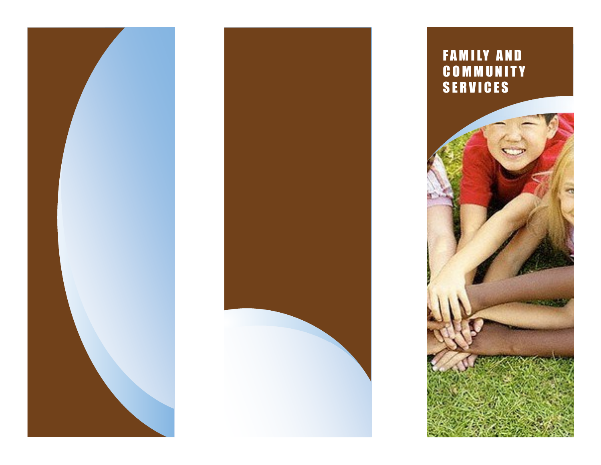



F A M I LY A N D C O M M U N I T Y SERVICES